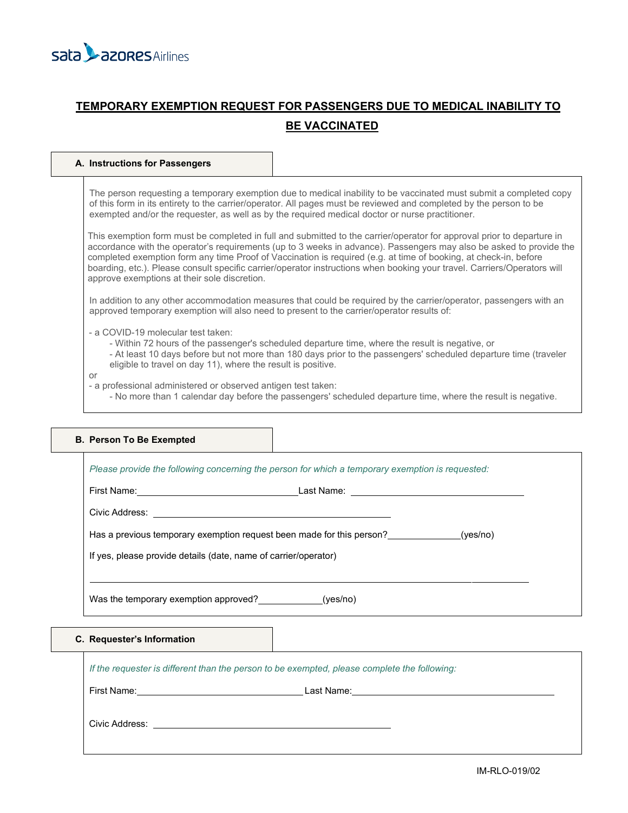

# **TEMPORARY EXEMPTION REQUEST FOR PASSENGERS DUE TO MEDICAL INABILITY TO BE VACCINATED**

# **A. Instructions for Passengers**

The person requesting a temporary exemption due to medical inability to be vaccinated must submit a completed copy of this form in its entirety to the carrier/operator. All pages must be reviewed and completed by the person to be exempted and/or the requester, as well as by the required medical doctor or nurse practitioner.

This exemption form must be completed in full and submitted to the carrier/operator for approval prior to departure in accordance with the operator's requirements (up to 3 weeks in advance). Passengers may also be asked to provide the completed exemption form any time Proof of Vaccination is required (e.g. at time of booking, at check-in, before boarding, etc.). Please consult specific carrier/operator instructions when booking your travel. Carriers/Operators will approve exemptions at their sole discretion.

In addition to any other accommodation measures that could be required by the carrier/operator, passengers with an approved temporary exemption will also need to present to the carrier/operator results of:

- a COVID-19 molecular test taken:
	- Within 72 hours of the passenger's scheduled departure time, where the result is negative, or
	- At least 10 days before but not more than 180 days prior to the passengers' scheduled departure time (traveler eligible to travel on day 11), where the result is positive.

#### or

- a professional administered or observed antigen test taken:
	- No more than 1 calendar day before the passengers' scheduled departure time, where the result is negative.

| <b>B. Person To Be Exempted</b>                                                                  |  |  |
|--------------------------------------------------------------------------------------------------|--|--|
| Please provide the following concerning the person for which a temporary exemption is requested: |  |  |
|                                                                                                  |  |  |
|                                                                                                  |  |  |
| Has a previous temporary exemption request been made for this person? ______________(yes/no)     |  |  |
| If yes, please provide details (date, name of carrier/operator)                                  |  |  |
| Was the temporary exemption approved? (yes/no)                                                   |  |  |
| C. Requester's Information                                                                       |  |  |
| If the requester is different than the person to be exempted, please complete the following:     |  |  |
|                                                                                                  |  |  |

Civic Address: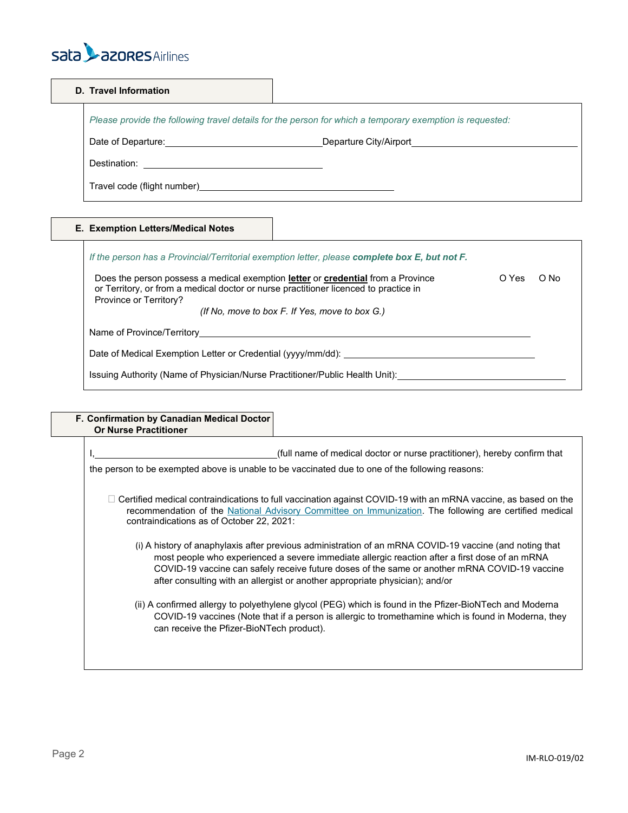

| D. Travel Information |                                                                                                          |  |
|-----------------------|----------------------------------------------------------------------------------------------------------|--|
|                       | Please provide the following travel details for the person for which a temporary exemption is requested: |  |
|                       |                                                                                                          |  |
|                       | Destination: _________________________________                                                           |  |
|                       |                                                                                                          |  |

# **E. Exemption Letters/Medical Notes**

| O Yes | O No |
|-------|------|
|       |      |
|       |      |
|       |      |
|       |      |

| F. Confirmation by Canadian Medical Doctor<br><b>Or Nurse Practitioner</b> |                                                                                                                                                                                                                                                                                                                                                                                            |
|----------------------------------------------------------------------------|--------------------------------------------------------------------------------------------------------------------------------------------------------------------------------------------------------------------------------------------------------------------------------------------------------------------------------------------------------------------------------------------|
|                                                                            | (full name of medical doctor or nurse practitioner), hereby confirm that<br>the person to be exempted above is unable to be vaccinated due to one of the following reasons:                                                                                                                                                                                                                |
| contraindications as of October 22, 2021:                                  | Certified medical contraindications to full vaccination against COVID-19 with an mRNA vaccine, as based on the<br>recommendation of the National Advisory Committee on Immunization. The following are certified medical                                                                                                                                                                   |
|                                                                            | (i) A history of anaphylaxis after previous administration of an mRNA COVID-19 vaccine (and noting that<br>most people who experienced a severe immediate allergic reaction after a first dose of an mRNA<br>COVID-19 vaccine can safely receive future doses of the same or another mRNA COVID-19 vaccine<br>after consulting with an allergist or another appropriate physician); and/or |
|                                                                            | (ii) A confirmed allergy to polyethylene glycol (PEG) which is found in the Pfizer-BioNTech and Moderna<br>COVID-19 vaccines (Note that if a person is allergic to tromethamine which is found in Moderna, they<br>can receive the Pfizer-BioNTech product).                                                                                                                               |
|                                                                            |                                                                                                                                                                                                                                                                                                                                                                                            |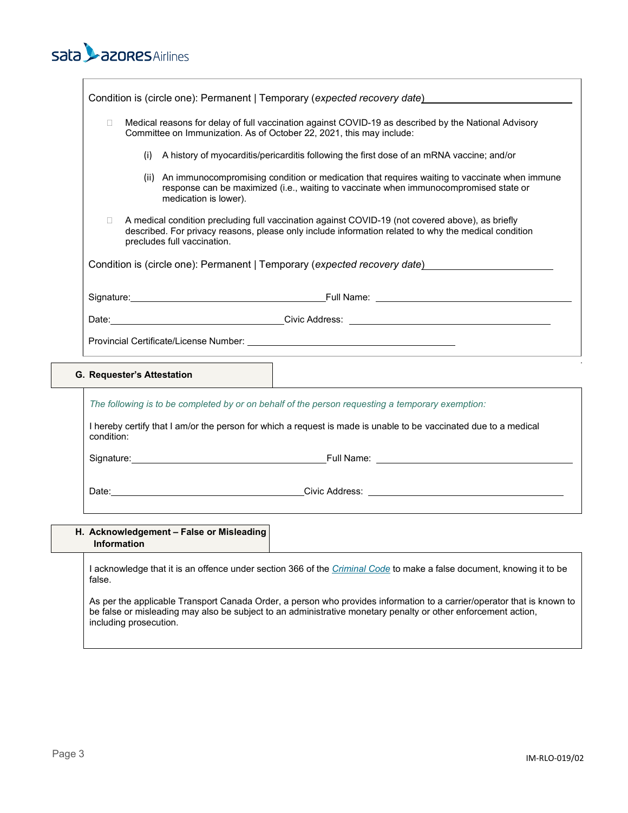# sata **L**azores Airlines

| Condition is (circle one): Permanent   Temporary (expected recovery date)                                                                                                                                                                         |                                                                                                                                                                                                                                |  |
|---------------------------------------------------------------------------------------------------------------------------------------------------------------------------------------------------------------------------------------------------|--------------------------------------------------------------------------------------------------------------------------------------------------------------------------------------------------------------------------------|--|
| Medical reasons for delay of full vaccination against COVID-19 as described by the National Advisory<br>$\Box$<br>Committee on Immunization. As of October 22, 2021, this may include:                                                            |                                                                                                                                                                                                                                |  |
| (i)                                                                                                                                                                                                                                               | A history of myocarditis/pericarditis following the first dose of an mRNA vaccine; and/or                                                                                                                                      |  |
| medication is lower).                                                                                                                                                                                                                             | (ii) An immunocompromising condition or medication that requires waiting to vaccinate when immune<br>response can be maximized (i.e., waiting to vaccinate when immunocompromised state or                                     |  |
| A medical condition precluding full vaccination against COVID-19 (not covered above), as briefly<br>$\Box$<br>described. For privacy reasons, please only include information related to why the medical condition<br>precludes full vaccination. |                                                                                                                                                                                                                                |  |
| Condition is (circle one): Permanent   Temporary (expected recovery date)                                                                                                                                                                         |                                                                                                                                                                                                                                |  |
|                                                                                                                                                                                                                                                   |                                                                                                                                                                                                                                |  |
|                                                                                                                                                                                                                                                   | Date: Civic Address: Contract Contract Contract Contract Contract Contract Contract Contract Contract Contract Contract Contract Contract Contract Contract Contract Contract Contract Contract Contract Contract Contract Con |  |
|                                                                                                                                                                                                                                                   |                                                                                                                                                                                                                                |  |
| G. Requester's Attestation                                                                                                                                                                                                                        |                                                                                                                                                                                                                                |  |

*The following is to be completed by or on behalf of the person requesting a temporary exemption:*

I hereby certify that I am/or the person for which a request is made is unable to be vaccinated due to a medical condition:

Signature: <u>Contract of Contract Contract Contract Contract Contract Contract Contract Contract Contract Contract Contract Contract Contract Contract Contract Contract Contract Contract Contract Contract Contract Contract </u>

Date: 2000 Civic Address: 2000 Civic Address: 2000 Civic Address: 2000 Civic Address: 2000 Civic Address: 2000 Civic Address: 2000 Civic Address: 2000 Civic Address: 2000 Civic Address: 2000 Civic Address: 2000 Civic Addre

| H. Acknowledgement - False or Misleading<br><b>Information</b>                                                                         |  |
|----------------------------------------------------------------------------------------------------------------------------------------|--|
| I acknowledge that it is an offence under section 366 of the <i>Criminal Code</i> to make a false document, knowing it to be<br>false. |  |

As per the applicable Transport Canada Order, a person who provides information to a carrier/operator that is known to be false or misleading may also be subject to an administrative monetary penalty or other enforcement action, including prosecution.